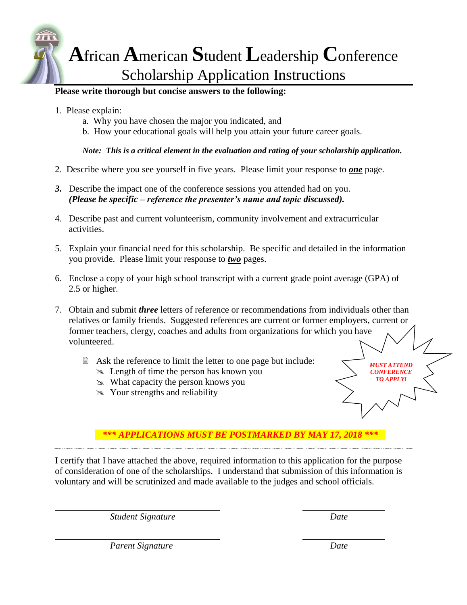

## **Please write thorough but concise answers to the following:**

- 1. Please explain:
	- a. Why you have chosen the major you indicated, and
	- b. How your educational goals will help you attain your future career goals.

*Note: This is a critical element in the evaluation and rating of your scholarship application.*

- 2. Describe where you see yourself in five years. Please limit your response to *one* page.
- *3.* Describe the impact one of the conference sessions you attended had on you. *(Please be specific – reference the presenter's name and topic discussed).*
- 4. Describe past and current volunteerism, community involvement and extracurricular activities.
- 5. Explain your financial need for this scholarship. Be specific and detailed in the information you provide. Please limit your response to *two* pages.
- 6. Enclose a copy of your high school transcript with a current grade point average (GPA) of 2.5 or higher.
- 7. Obtain and submit *three* letters of reference or recommendations from individuals other than relatives or family friends. Suggested references are current or former employers, current or former teachers, clergy, coaches and adults from organizations for which you have volunteered.
	- **■** Ask the reference to limit the letter to one page but include:
		- Length of time the person has known you
		- What capacity the person knows you
		- $\gg$  Your strengths and reliability

## *\*\*\* APPLICATIONS MUST BE POSTMARKED BY MAY 17, 2018 \*\*\**

I certify that I have attached the above, required information to this application for the purpose of consideration of one of the scholarships. I understand that submission of this information is voluntary and will be scrutinized and made available to the judges and school officials.

*Student Signature Date*

*MUST ATTEND CONFERENCE TO APPLY!*

*Parent Signature Date*